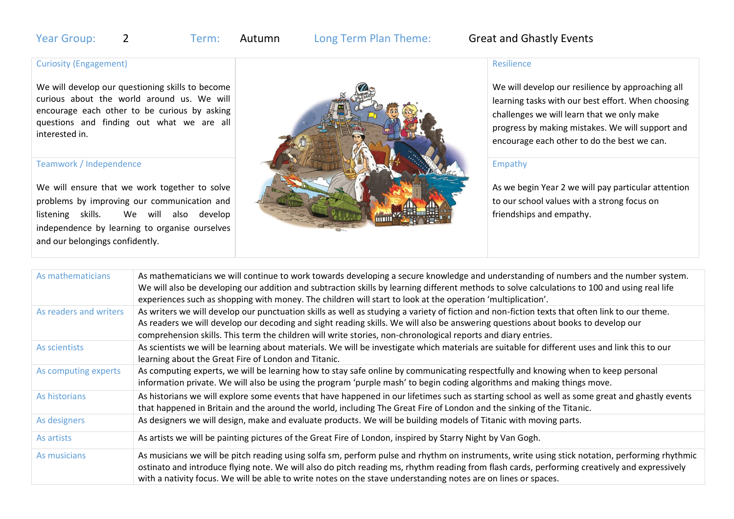# Year Group: 2 Term: Autumn Long Term Plan Theme: Great and Ghastly Events

## Curiosity (Engagement)

We will develop our questioning skills to become curious about the world around us. We will encourage each other to be curious by asking questions and finding out what we are all interested in.

#### Teamwork / Independence

We will ensure that we work together to solve problems by improving our communication and listening skills. We will also develop independence by learning to organise ourselves and our belongings confidently.



### Resilience

We will develop our resilience by approaching all learning tasks with our best effort. When choosing challenges we will learn that we only make progress by making mistakes. We will support and encourage each other to do the best we can.

### Empathy

As we begin Year 2 we will pay particular attention to our school values with a strong focus on friendships and empathy.

| As mathematicians      | As mathematicians we will continue to work towards developing a secure knowledge and understanding of numbers and the number system.<br>We will also be developing our addition and subtraction skills by learning different methods to solve calculations to 100 and using real life<br>experiences such as shopping with money. The children will start to look at the operation 'multiplication'.              |
|------------------------|-------------------------------------------------------------------------------------------------------------------------------------------------------------------------------------------------------------------------------------------------------------------------------------------------------------------------------------------------------------------------------------------------------------------|
| As readers and writers | As writers we will develop our punctuation skills as well as studying a variety of fiction and non-fiction texts that often link to our theme.<br>As readers we will develop our decoding and sight reading skills. We will also be answering questions about books to develop our<br>comprehension skills. This term the children will write stories, non-chronological reports and diary entries.               |
| As scientists          | As scientists we will be learning about materials. We will be investigate which materials are suitable for different uses and link this to our<br>learning about the Great Fire of London and Titanic.                                                                                                                                                                                                            |
| As computing experts   | As computing experts, we will be learning how to stay safe online by communicating respectfully and knowing when to keep personal<br>information private. We will also be using the program 'purple mash' to begin coding algorithms and making things move.                                                                                                                                                      |
| As historians          | As historians we will explore some events that have happened in our lifetimes such as starting school as well as some great and ghastly events<br>that happened in Britain and the around the world, including The Great Fire of London and the sinking of the Titanic.                                                                                                                                           |
| As designers           | As designers we will design, make and evaluate products. We will be building models of Titanic with moving parts.                                                                                                                                                                                                                                                                                                 |
| As artists             | As artists we will be painting pictures of the Great Fire of London, inspired by Starry Night by Van Gogh.                                                                                                                                                                                                                                                                                                        |
| As musicians           | As musicians we will be pitch reading using solfa sm, perform pulse and rhythm on instruments, write using stick notation, performing rhythmic<br>ostinato and introduce flying note. We will also do pitch reading ms, rhythm reading from flash cards, performing creatively and expressively<br>with a nativity focus. We will be able to write notes on the stave understanding notes are on lines or spaces. |